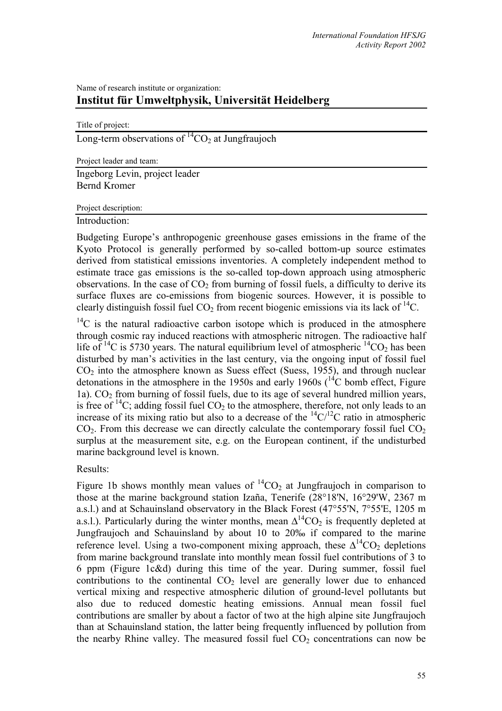# Name of research institute or organization: **Institut für Umweltphysik, Universität Heidelberg**

| Title of project: |  |  |
|-------------------|--|--|

Long-term observations of  ${}^{14}CO_2$  at Jungfraujoch

Project leader and team:

Ingeborg Levin, project leader Bernd Kromer

### Project description:

Introduction:

Budgeting Europe's anthropogenic greenhouse gases emissions in the frame of the Kyoto Protocol is generally performed by so-called bottom-up source estimates derived from statistical emissions inventories. A completely independent method to estimate trace gas emissions is the so-called top-down approach using atmospheric observations. In the case of  $CO<sub>2</sub>$  from burning of fossil fuels, a difficulty to derive its surface fluxes are co-emissions from biogenic sources. However, it is possible to clearly distinguish fossil fuel  $CO<sub>2</sub>$  from recent biogenic emissions via its lack of  $^{14}C$ .

 $14^{\circ}$ C is the natural radioactive carbon isotope which is produced in the atmosphere through cosmic ray induced reactions with atmospheric nitrogen. The radioactive half life of  ${}^{14}$ C is 5730 years. The natural equilibrium level of atmospheric  ${}^{14}$ CO<sub>2</sub> has been disturbed by man's activities in the last century, via the ongoing input of fossil fuel  $CO<sub>2</sub>$  into the atmosphere known as Suess effect (Suess, 1955), and through nuclear detonations in the atmosphere in the 1950s and early 1960s  $(^{14}C$  bomb effect, Figure 1a).  $CO<sub>2</sub>$  from burning of fossil fuels, due to its age of several hundred million years, is free of  $^{14}C$ ; adding fossil fuel  $CO<sub>2</sub>$  to the atmosphere, therefore, not only leads to an increase of its mixing ratio but also to a decrease of the  ${}^{14}C/{}^{12}C$  ratio in atmospheric  $CO<sub>2</sub>$ . From this decrease we can directly calculate the contemporary fossil fuel  $CO<sub>2</sub>$ surplus at the measurement site, e.g. on the European continent, if the undisturbed marine background level is known.

Results:

Figure 1b shows monthly mean values of  ${}^{14}CO_2$  at Jungfraujoch in comparison to those at the marine background station Izaña, Tenerife (28°18'N, 16°29'W, 2367 m a.s.l.) and at Schauinsland observatory in the Black Forest (47°55'N, 7°55'E, 1205 m a.s.l.). Particularly during the winter months, mean  $\Delta^{14}CO_2$  is frequently depleted at Jungfraujoch and Schauinsland by about 10 to 20‰ if compared to the marine reference level. Using a two-component mixing approach, these  $\Delta^{14}CO_2$  depletions from marine background translate into monthly mean fossil fuel contributions of 3 to 6 ppm (Figure 1c&d) during this time of the year. During summer, fossil fuel contributions to the continental  $CO<sub>2</sub>$  level are generally lower due to enhanced vertical mixing and respective atmospheric dilution of ground-level pollutants but also due to reduced domestic heating emissions. Annual mean fossil fuel contributions are smaller by about a factor of two at the high alpine site Jungfraujoch than at Schauinsland station, the latter being frequently influenced by pollution from the nearby Rhine valley. The measured fossil fuel  $CO<sub>2</sub>$  concentrations can now be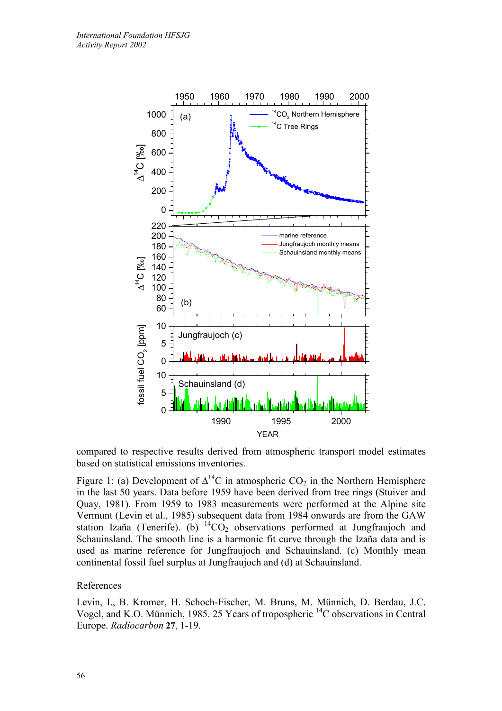

compared to respective results derived from atmospheric transport model estimates based on statistical emissions inventories.

Figure 1: (a) Development of  $\Delta^{14}C$  in atmospheric CO<sub>2</sub> in the Northern Hemisphere in the last 50 years. Data before 1959 have been derived from tree rings (Stuiver and Quay, 1981). From 1959 to 1983 measurements were performed at the Alpine site Vermunt (Levin et al., 1985) subsequent data from 1984 onwards are from the GAW station Izaña (Tenerife). (b)  ${}^{14}CO_2$  observations performed at Jungfraujoch and Schauinsland. The smooth line is a harmonic fit curve through the Izaña data and is used as marine reference for Jungfraujoch and Schauinsland. (c) Monthly mean continental fossil fuel surplus at Jungfraujoch and (d) at Schauinsland.

### References

Levin, I., B. Kromer, H. Schoch-Fischer, M. Bruns, M. Münnich, D. Berdau, J.C. Vogel, and K.O. Münnich, 1985. 25 Years of tropospheric 14C observations in Central Europe. *Radiocarbon* **27**, 1-19.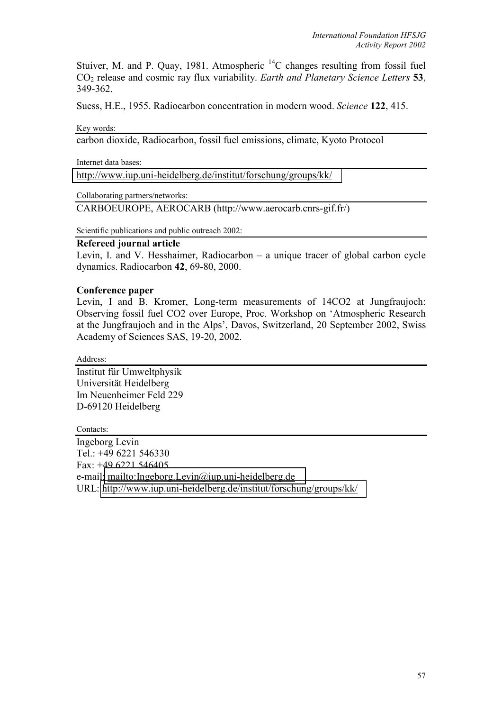Stuiver, M. and P. Quay, 1981. Atmospheric  $^{14}$ C changes resulting from fossil fuel CO2 release and cosmic ray flux variability. *Earth and Planetary Science Letters* **53**, 349-362.

Suess, H.E., 1955. Radiocarbon concentration in modern wood. *Science* **122**, 415.

Key words:

carbon dioxide, Radiocarbon, fossil fuel emissions, climate, Kyoto Protocol

Internet data bases:

[http://www.iup.uni-heidelberg.de/institut/forschung/groups/kk/](http://kspc4.unibe.ch/nm)

Collaborating partners/networks:

CARBOEUROPE, AEROCARB (http://www.aerocarb.cnrs-gif.fr/)

Scientific publications and public outreach 2002:

# **Refereed journal article**

Levin, I. and V. Hesshaimer, Radiocarbon – a unique tracer of global carbon cycle dynamics. Radiocarbon **42**, 69-80, 2000.

# **Conference paper**

Levin, I and B. Kromer, Long-term measurements of 14CO2 at Jungfraujoch: Observing fossil fuel CO2 over Europe, Proc. Workshop on 'Atmospheric Research at the Jungfraujoch and in the Alps', Davos, Switzerland, 20 September 2002, Swiss Academy of Sciences SAS, 19-20, 2002.

Address:

Institut für Umweltphysik Universität Heidelberg Im Neuenheimer Feld 229 D-69120 Heidelberg

Contacts:

Ingeborg Levin Tel.: +49 6221 546330 Fax: +49 6221 546405 e-mail[: mailto:Ingeborg.Levin@iup.uni-heidelberg.de](mailto:Ingeborg.Levin@iup.uni-heidelberg.de) URL:<http://www.iup.uni-heidelberg.de/institut/forschung/groups/kk/>